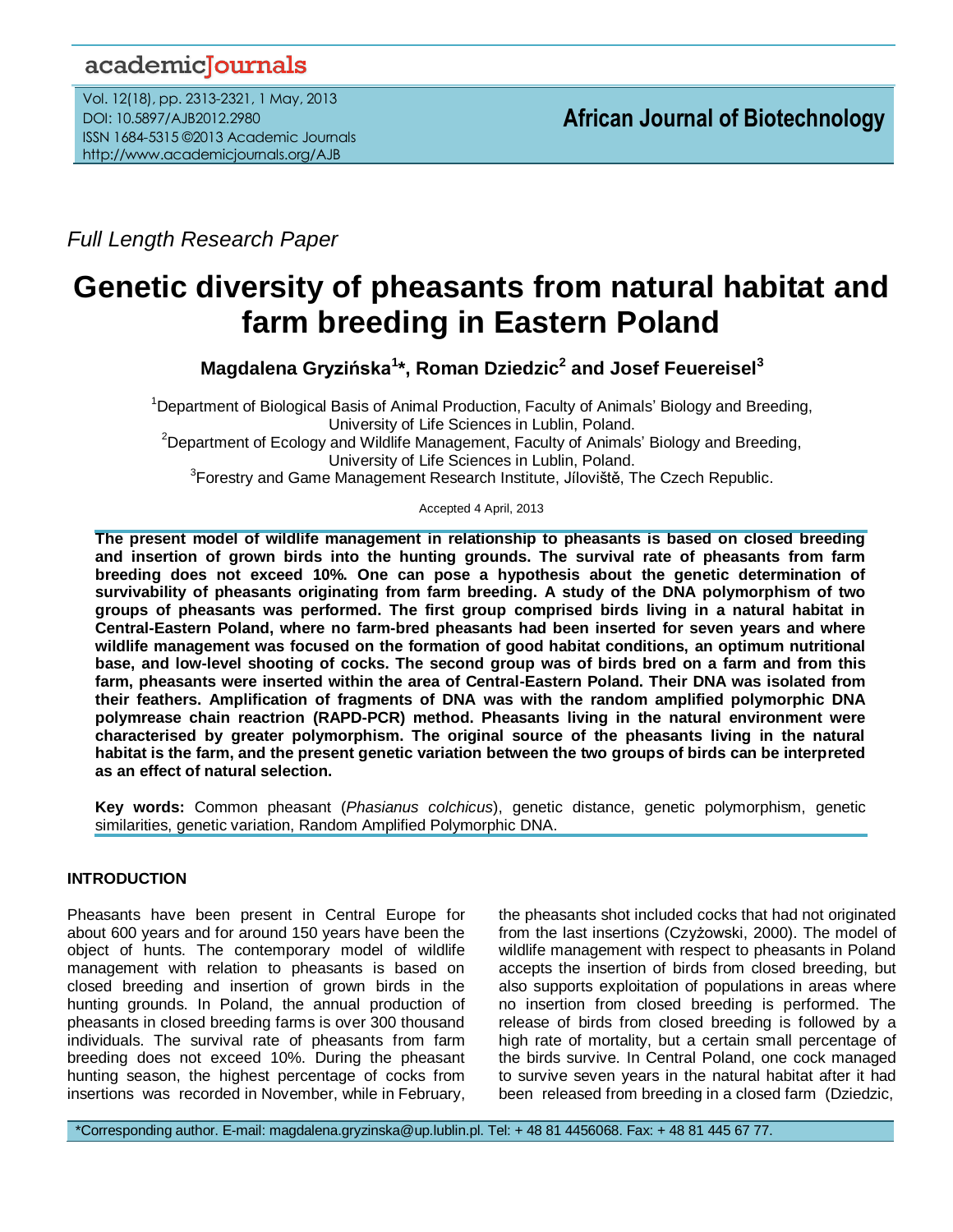# academicJournals

Vol. 12(18), pp. 2313-2321, 1 May, 2013 DOI: 10.5897/AJB2012.2980 ISSN 1684-5315 ©2013 Academic Journals http://www.academicjournals.org/AJB

*Full Length Research Paper*

# **Genetic diversity of pheasants from natural habitat and farm breeding in Eastern Poland**

**Magdalena Gryzińska<sup>1</sup> \*, Roman Dziedzic<sup>2</sup> and Josef Feuereisel<sup>3</sup>**

<sup>1</sup>Department of Biological Basis of Animal Production, Faculty of Animals' Biology and Breeding, University of Life Sciences in Lublin, Poland.  $2$ Department of Ecology and Wildlife Management, Faculty of Animals' Biology and Breeding, University of Life Sciences in Lublin, Poland. <sup>3</sup>Forestry and Game Management Research Institute, Jíloviště, The Czech Republic.

Accepted 4 April, 2013

**The present model of wildlife management in relationship to pheasants is based on closed breeding and insertion of grown birds into the hunting grounds. The survival rate of pheasants from farm breeding does not exceed 10%. One can pose a hypothesis about the genetic determination of survivability of pheasants originating from farm breeding. A study of the DNA polymorphism of two groups of pheasants was performed. The first group comprised birds living in a natural habitat in Central-Eastern Poland, where no farm-bred pheasants had been inserted for seven years and where wildlife management was focused on the formation of good habitat conditions, an optimum nutritional base, and low-level shooting of cocks. The second group was of birds bred on a farm and from this farm, pheasants were inserted within the area of Central-Eastern Poland. Their DNA was isolated from their feathers. Amplification of fragments of DNA was with the random amplified polymorphic DNA polymrease chain reactrion (RAPD-PCR) method. Pheasants living in the natural environment were characterised by greater polymorphism. The original source of the pheasants living in the natural habitat is the farm, and the present genetic variation between the two groups of birds can be interpreted as an effect of natural selection.**

**Key words:** Common pheasant (*Phasianus colchicus*), genetic distance, genetic polymorphism, genetic similarities, genetic variation, Random Amplified Polymorphic DNA.

# **INTRODUCTION**

Pheasants have been present in Central Europe for about 600 years and for around 150 years have been the object of hunts. The contemporary model of wildlife management with relation to pheasants is based on closed breeding and insertion of grown birds in the hunting grounds. In Poland, the annual production of pheasants in closed breeding farms is over 300 thousand individuals. The survival rate of pheasants from farm breeding does not exceed 10%. During the pheasant hunting season, the highest percentage of cocks from insertions was recorded in November, while in February,

the pheasants shot included cocks that had not originated from the last insertions (Czyżowski, 2000). The model of wildlife management with respect to pheasants in Poland accepts the insertion of birds from closed breeding, but also supports exploitation of populations in areas where no insertion from closed breeding is performed. The release of birds from closed breeding is followed by a high rate of mortality, but a certain small percentage of the birds survive. In Central Poland, one cock managed to survive seven years in the natural habitat after it had been released from breeding in a closed farm (Dziedzic,

\*Corresponding author. E-mail: magdalena.gryzinska@up.lublin.pl. Tel: + 48 81 4456068. Fax: + 48 81 445 67 77.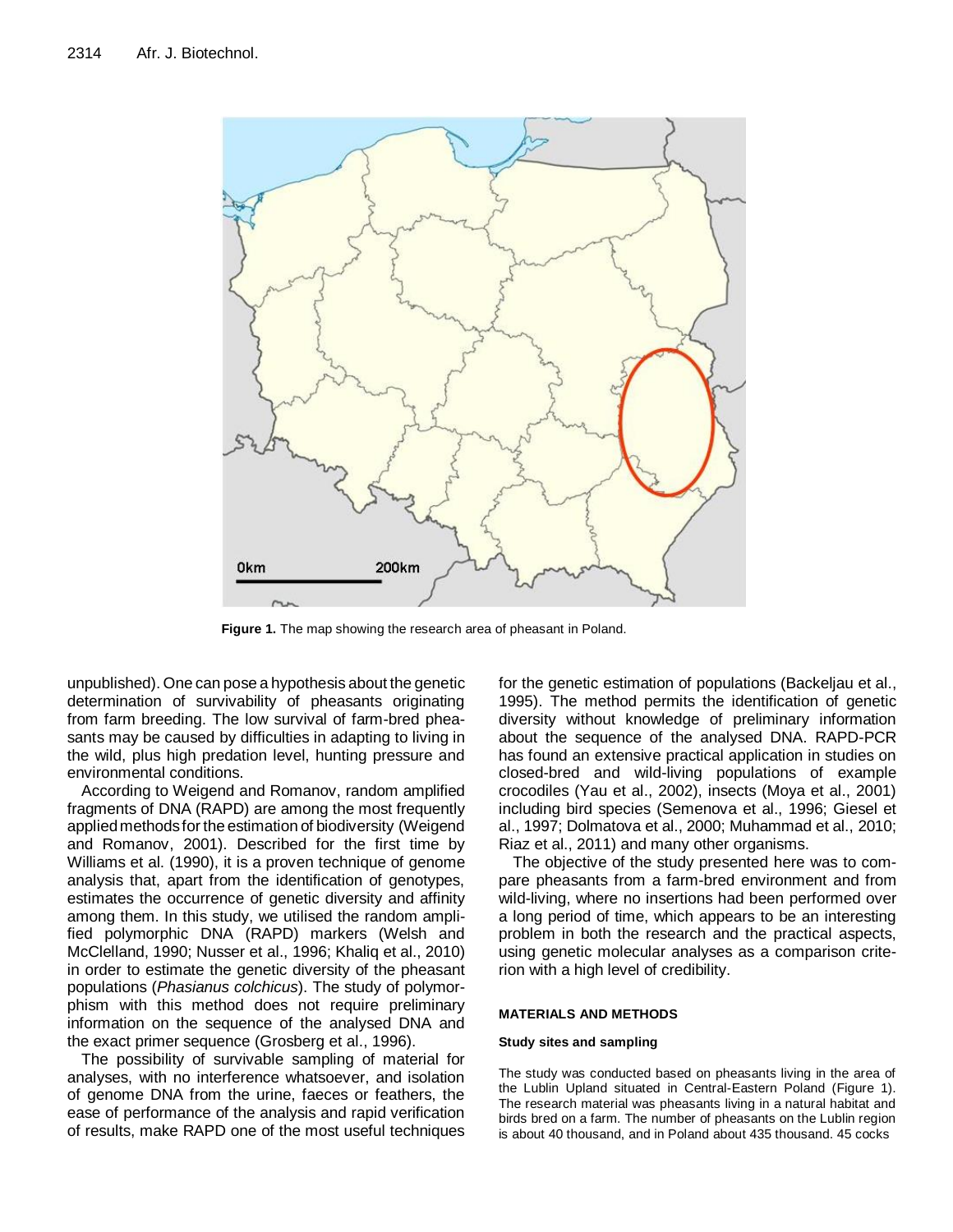

**Figure 1.** The map showing the research area of pheasant in Poland.

unpublished). One can pose a hypothesis about the genetic determination of survivability of pheasants originating from farm breeding. The low survival of farm-bred pheasants may be caused by difficulties in adapting to living in the wild, plus high predation level, hunting pressure and environmental conditions.

According to Weigend and Romanov, random amplified fragments of DNA (RAPD) are among the most frequently applied methods for the estimation of biodiversity (Weigend and Romanov, 2001). Described for the first time by Williams et al. (1990), it is a proven technique of genome analysis that, apart from the identification of genotypes, estimates the occurrence of genetic diversity and affinity among them. In this study, we utilised the random amplified polymorphic DNA (RAPD) markers (Welsh and McClelland, 1990; Nusser et al., 1996; Khaliq et al., 2010) in order to estimate the genetic diversity of the pheasant populations (*Phasianus colchicus*). The study of polymorphism with this method does not require preliminary information on the sequence of the analysed DNA and the exact primer sequence (Grosberg et al., 1996).

The possibility of survivable sampling of material for analyses, with no interference whatsoever, and isolation of genome DNA from the urine, faeces or feathers, the ease of performance of the analysis and rapid verification of results, make RAPD one of the most useful techniques for the genetic estimation of populations (Backeljau et al., 1995). The method permits the identification of genetic diversity without knowledge of preliminary information about the sequence of the analysed DNA. RAPD-PCR has found an extensive practical application in studies on closed-bred and wild-living populations of example crocodiles (Yau et al., 2002), insects (Moya et al., 2001) including bird species (Semenova et al., 1996; Giesel et al., 1997; Dolmatova et al., 2000; Muhammad et al., 2010; Riaz et al., 2011) and many other organisms.

The objective of the study presented here was to compare pheasants from a farm-bred environment and from wild-living, where no insertions had been performed over a long period of time, which appears to be an interesting problem in both the research and the practical aspects, using genetic molecular analyses as a comparison criterion with a high level of credibility.

#### **MATERIALS AND METHODS**

#### **Study sites and sampling**

The study was conducted based on pheasants living in the area of the Lublin Upland situated in Central-Eastern Poland (Figure 1). The research material was pheasants living in a natural habitat and birds bred on a farm. The number of pheasants on the Lublin region is about 40 thousand, and in Poland about 435 thousand. 45 cocks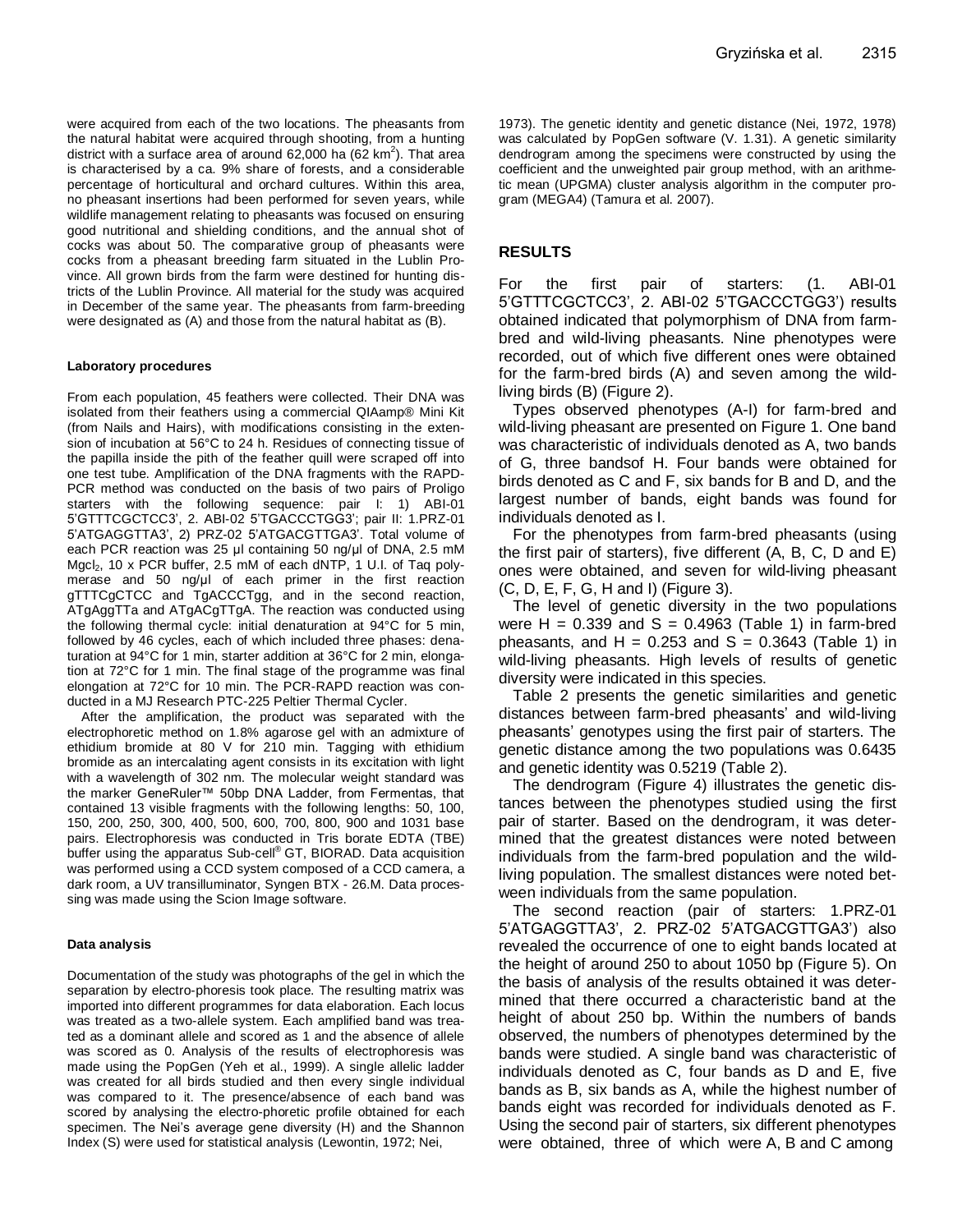were acquired from each of the two locations. The pheasants from the natural habitat were acquired through shooting, from a hunting district with a surface area of around 62,000 ha (62 km<sup>2</sup>). That area is characterised by a ca. 9% share of forests, and a considerable percentage of horticultural and orchard cultures. Within this area, no pheasant insertions had been performed for seven years, while wildlife management relating to pheasants was focused on ensuring good nutritional and shielding conditions, and the annual shot of cocks was about 50. The comparative group of pheasants were cocks from a pheasant breeding farm situated in the Lublin Province. All grown birds from the farm were destined for hunting districts of the Lublin Province. All material for the study was acquired in December of the same year. The pheasants from farm-breeding were designated as (A) and those from the natural habitat as (B).

#### **Laboratory procedures**

From each population, 45 feathers were collected. Their DNA was isolated from their feathers using a commercial QIAamp® Mini Kit (from Nails and Hairs), with modifications consisting in the extension of incubation at 56°C to 24 h. Residues of connecting tissue of the papilla inside the pith of the feather quill were scraped off into one test tube. Amplification of the DNA fragments with the RAPD-PCR method was conducted on the basis of two pairs of Proligo starters with the following sequence: pair I: 1) ABI-01 5'GTTTCGCTCC3', 2. ABI-02 5'TGACCCTGG3'; pair II: 1.PRZ-01 5'ATGAGGTTA3', 2) PRZ-02 5'ATGACGTTGA3'. Total volume of each PCR reaction was 25 μl containing 50 ng/μl of DNA, 2.5 mM Mgcl<sub>2</sub>, 10 x PCR buffer, 2.5 mM of each dNTP, 1 U.I. of Taq polymerase and 50 ng/μl of each primer in the first reaction gTTTCgCTCC and TgACCCTgg, and in the second reaction, ATgAggTTa and ATgACgTTgA. The reaction was conducted using the following thermal cycle: initial denaturation at 94°C for 5 min, followed by 46 cycles, each of which included three phases: denaturation at 94°C for 1 min, starter addition at 36°C for 2 min, elongation at 72°C for 1 min. The final stage of the programme was final elongation at 72°C for 10 min. The PCR-RAPD reaction was conducted in a MJ Research PTC-225 Peltier Thermal Cycler.

After the amplification, the product was separated with the electrophoretic method on 1.8% agarose gel with an admixture of ethidium bromide at 80 V for 210 min. Tagging with ethidium bromide as an intercalating agent consists in its excitation with light with a wavelength of 302 nm. The molecular weight standard was the marker GeneRuler™ 50bp DNA Ladder, from Fermentas, that contained 13 visible fragments with the following lengths: 50, 100, 150, 200, 250, 300, 400, 500, 600, 700, 800, 900 and 1031 base pairs. Electrophoresis was conducted in Tris borate EDTA (TBE) buffer using the apparatus Sub-cell<sup>®</sup> GT, BIORAD. Data acquisition was performed using a CCD system composed of a CCD camera, a dark room, a UV transilluminator, Syngen BTX - 26.M. Data processing was made using the Scion Image software.

#### **Data analysis**

Documentation of the study was photographs of the gel in which the separation by electro-phoresis took place. The resulting matrix was imported into different programmes for data elaboration. Each locus was treated as a two-allele system. Each amplified band was treated as a dominant allele and scored as 1 and the absence of allele was scored as 0. Analysis of the results of electrophoresis was made using the PopGen (Yeh et al., 1999). A single allelic ladder was created for all birds studied and then every single individual was compared to it. The presence/absence of each band was scored by analysing the electro-phoretic profile obtained for each specimen. The Nei's average gene diversity (H) and the Shannon Index (S) were used for statistical analysis (Lewontin, 1972; Nei,

1973). The genetic identity and genetic distance (Nei, 1972, 1978) was calculated by PopGen software (V. 1.31). A genetic similarity dendrogram among the specimens were constructed by using the coefficient and the unweighted pair group method, with an arithmetic mean (UPGMA) cluster analysis algorithm in the computer program (MEGA4) (Tamura et al. 2007).

## **RESULTS**

For the first pair of starters: (1. ABI-01 5'GTTTCGCTCC3', 2. ABI-02 5'TGACCCTGG3') results obtained indicated that polymorphism of DNA from farmbred and wild-living pheasants. Nine phenotypes were recorded, out of which five different ones were obtained for the farm-bred birds (A) and seven among the wildliving birds (B) (Figure 2).

Types observed phenotypes (A-I) for farm-bred and wild-living pheasant are presented on Figure 1. One band was characteristic of individuals denoted as A, two bands of G, three bandsof H. Four bands were obtained for birds denoted as C and F, six bands for B and D, and the largest number of bands, eight bands was found for individuals denoted as I.

For the phenotypes from farm-bred pheasants (using the first pair of starters), five different (A, B, C, D and E) ones were obtained, and seven for wild-living pheasant (C, D, E, F, G, H and I) (Figure 3).

The level of genetic diversity in the two populations were  $H = 0.339$  and  $S = 0.4963$  (Table 1) in farm-bred pheasants, and H =  $0.253$  and S =  $0.3643$  (Table 1) in wild-living pheasants. High levels of results of genetic diversity were indicated in this species.

Table 2 presents the genetic similarities and genetic distances between farm-bred pheasants' and wild-living pheasants' genotypes using the first pair of starters. The genetic distance among the two populations was 0.6435 and genetic identity was 0.5219 (Table 2).

The dendrogram (Figure 4) illustrates the genetic distances between the phenotypes studied using the first pair of starter. Based on the dendrogram, it was determined that the greatest distances were noted between individuals from the farm-bred population and the wildliving population. The smallest distances were noted between individuals from the same population.

The second reaction (pair of starters: 1.PRZ-01 5'ATGAGGTTA3', 2. PRZ-02 5'ATGACGTTGA3') also revealed the occurrence of one to eight bands located at the height of around 250 to about 1050 bp (Figure 5). On the basis of analysis of the results obtained it was determined that there occurred a characteristic band at the height of about 250 bp. Within the numbers of bands observed, the numbers of phenotypes determined by the bands were studied. A single band was characteristic of individuals denoted as C, four bands as D and E, five bands as B, six bands as A, while the highest number of bands eight was recorded for individuals denoted as F. Using the second pair of starters, six different phenotypes were obtained, three of which were A, B and C among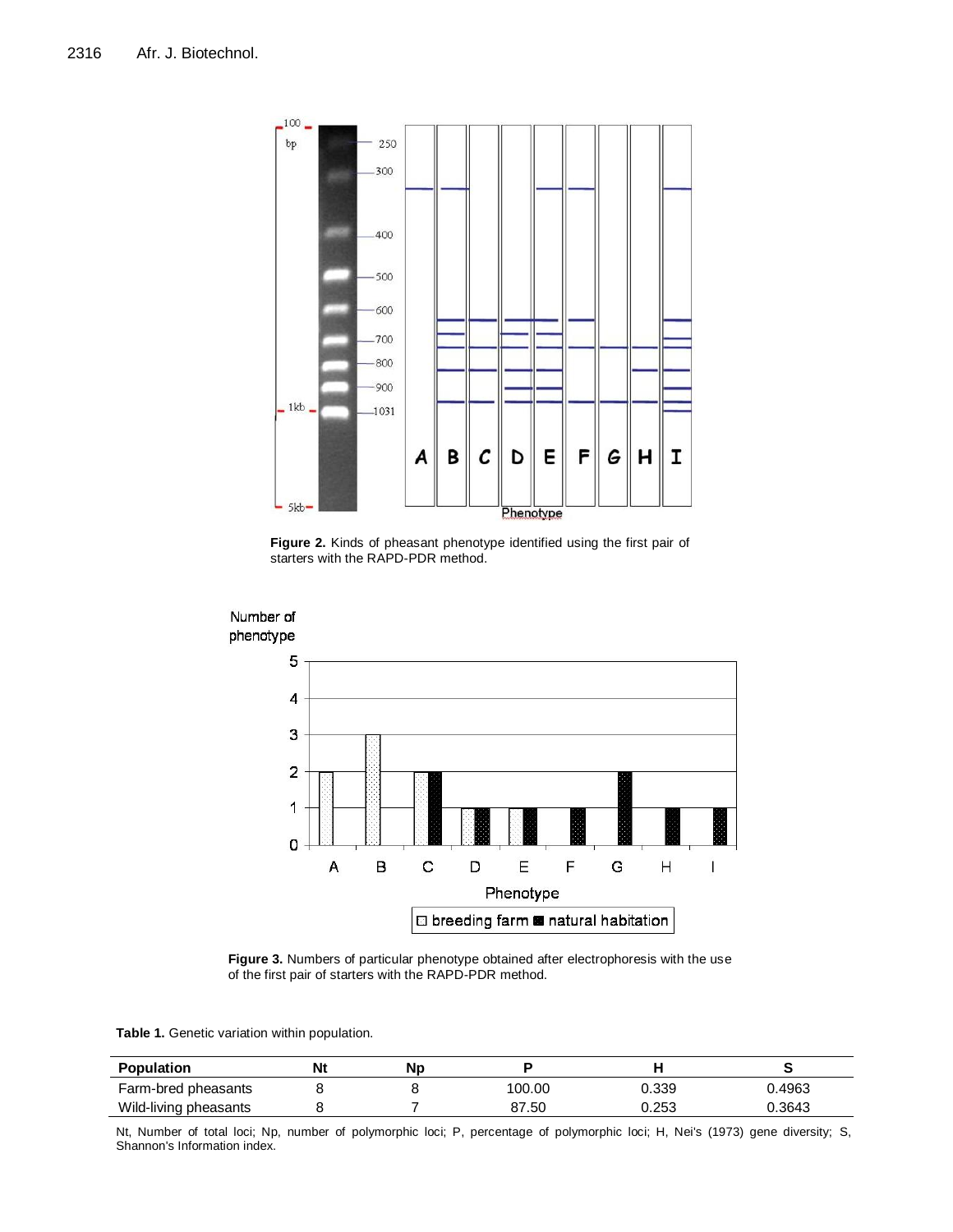

**Figure 2.** Kinds of pheasant phenotype identified using the first pair of starters with the RAPD-PDR method.



Figure 3. Numbers of particular phenotype obtained after electrophoresis with the use of the first pair of starters with the RAPD-PDR method.

| <b>Table 1.</b> Genetic variation within population. |  |  |
|------------------------------------------------------|--|--|
|------------------------------------------------------|--|--|

| Population            | Nt | Np |        |       |        |
|-----------------------|----|----|--------|-------|--------|
| Farm-bred pheasants   |    |    | 100.00 | 0.339 | 0.4963 |
| Wild-living pheasants |    |    | 87.50  | 0.253 | 0.3643 |

Nt, Number of total loci; Np, number of polymorphic loci; P, percentage of polymorphic loci; H, Nei's (1973) gene diversity; S, Shannon's Information index.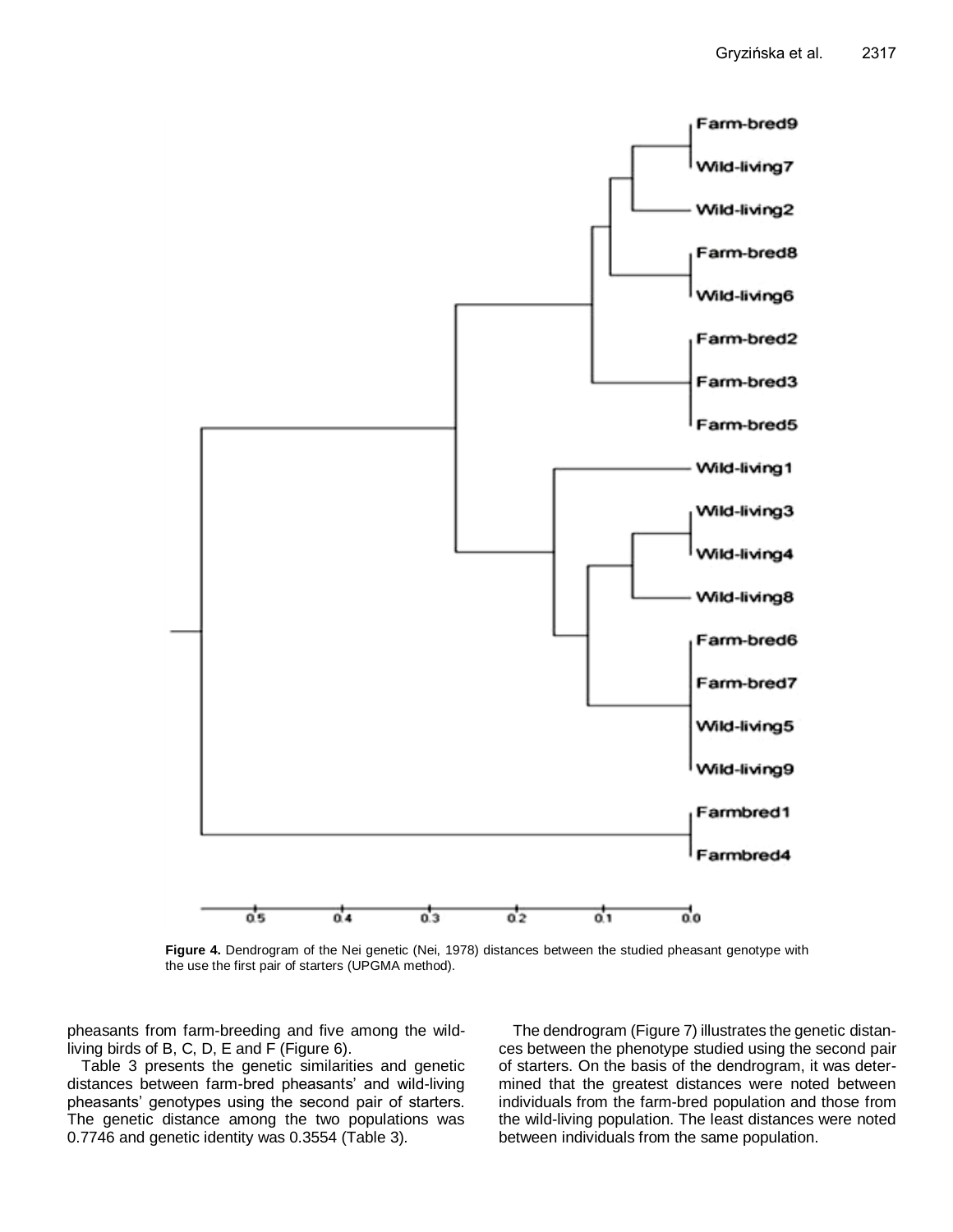

**Figure 4.** Dendrogram of the Nei genetic (Nei, 1978) distances between the studied pheasant genotype with the use the first pair of starters (UPGMA method).

pheasants from farm-breeding and five among the wildliving birds of B, C, D, E and F (Figure 6).

Table 3 presents the genetic similarities and genetic distances between farm-bred pheasants' and wild-living pheasants' genotypes using the second pair of starters. The genetic distance among the two populations was 0.7746 and genetic identity was 0.3554 (Table 3).

The dendrogram (Figure 7) illustrates the genetic distances between the phenotype studied using the second pair of starters. On the basis of the dendrogram, it was determined that the greatest distances were noted between individuals from the farm-bred population and those from the wild-living population. The least distances were noted between individuals from the same population.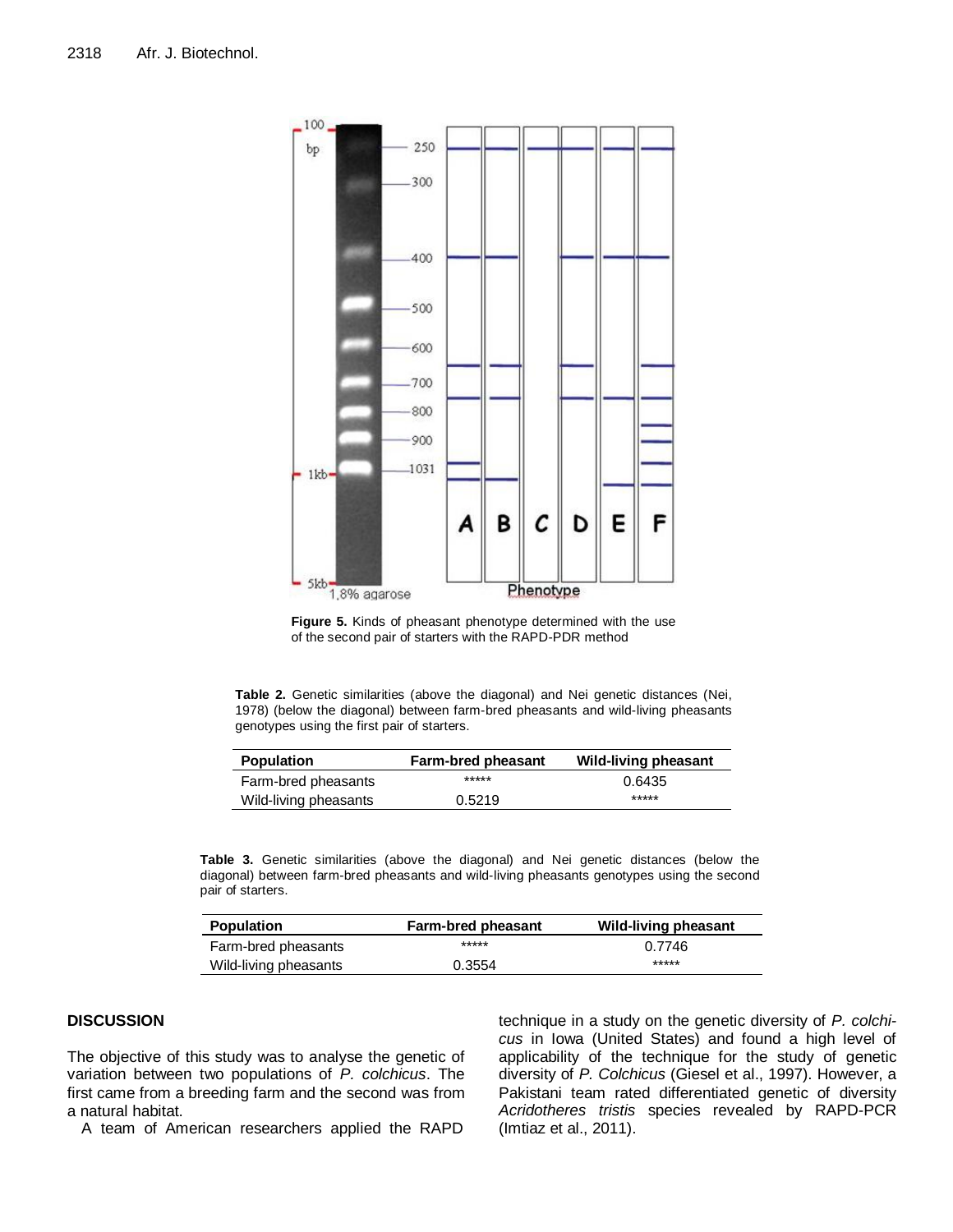

**Figure 5.** Kinds of pheasant phenotype determined with the use of the second pair of starters with the RAPD-PDR method

**Table 2.** Genetic similarities (above the diagonal) and Nei genetic distances (Nei, 1978) (below the diagonal) between farm-bred pheasants and wild-living pheasants genotypes using the first pair of starters.

| <b>Population</b>     | <b>Farm-bred pheasant</b> | <b>Wild-living pheasant</b> |
|-----------------------|---------------------------|-----------------------------|
| Farm-bred pheasants   | *****                     | 0.6435                      |
| Wild-living pheasants | 0.5219                    | *****                       |

**Table 3.** Genetic similarities (above the diagonal) and Nei genetic distances (below the diagonal) between farm-bred pheasants and wild-living pheasants genotypes using the second pair of starters.

| Population            | <b>Farm-bred pheasant</b> | Wild-living pheasant |
|-----------------------|---------------------------|----------------------|
| Farm-bred pheasants   | *****                     | 0.7746               |
| Wild-living pheasants | 0.3554                    | *****                |

# **DISCUSSION**

The objective of this study was to analyse the genetic of variation between two populations of *P. colchicus*. The first came from a breeding farm and the second was from a natural habitat.

A team of American researchers applied the RAPD

technique in a study on the genetic diversity of *P. colchicus* in Iowa (United States) and found a high level of applicability of the technique for the study of genetic diversity of *P. Colchicus* (Giesel et al., 1997). However, a Pakistani team rated differentiated genetic of diversity *Acridotheres tristis* species revealed by RAPD-PCR (Imtiaz et al., 2011).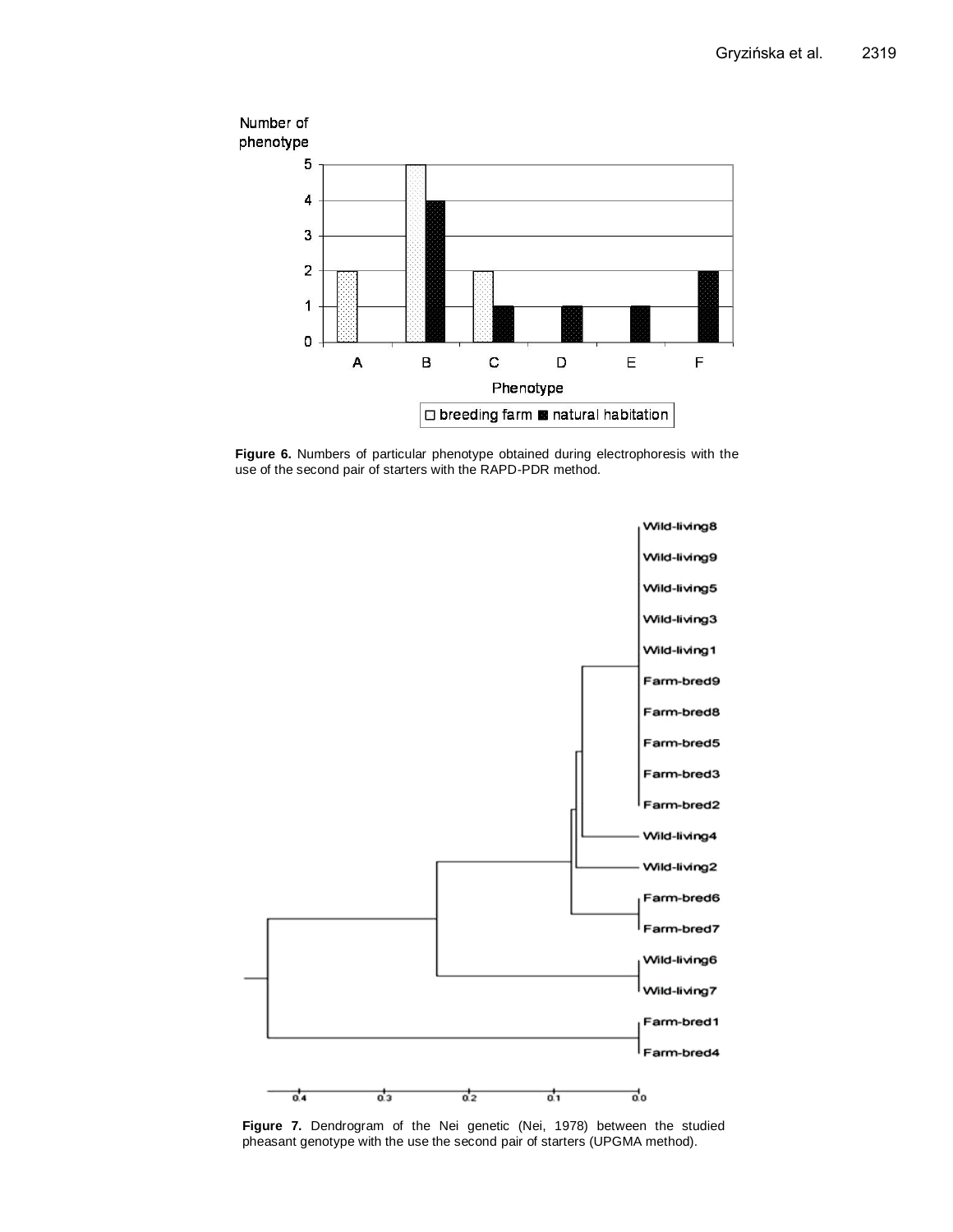

**Figure 6.** Numbers of particular phenotype obtained during electrophoresis with the use of the second pair of starters with the RAPD-PDR method.



**Figure 7.** Dendrogram of the Nei genetic (Nei, 1978) between the studied pheasant genotype with the use the second pair of starters (UPGMA method).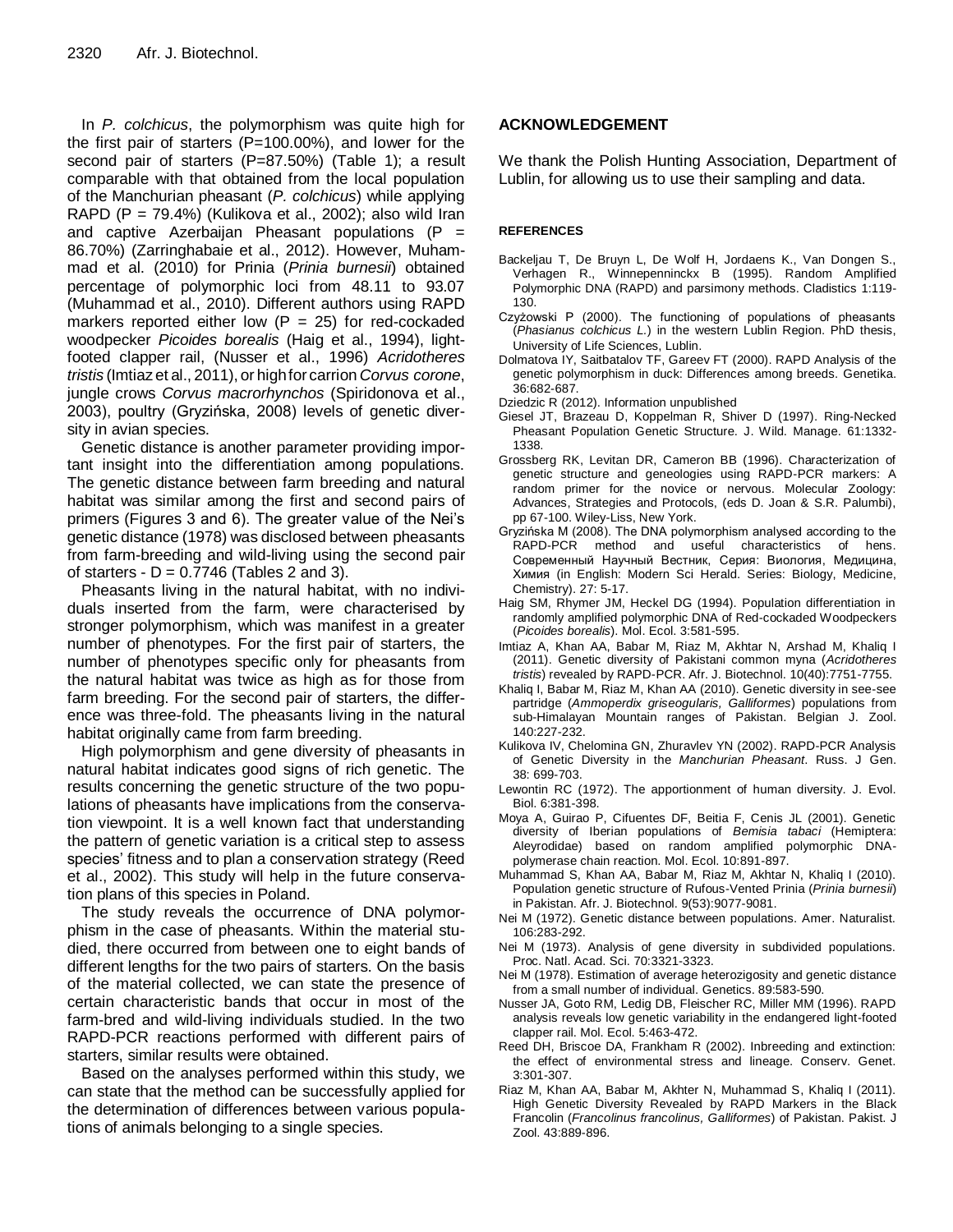In *P. colchicus*, the polymorphism was quite high for the first pair of starters  $(P=100.00\%)$ , and lower for the second pair of starters (P=87.50%) (Table 1); a result comparable with that obtained from the local population of the Manchurian pheasant (*P. colchicus*) while applying RAPD (P = 79.4%) (Kulikova et al., 2002); also wild Iran and captive Azerbaijan Pheasant populations  $(P =$ 86.70%) (Zarringhabaie et al., 2012). However, Muhammad et al. (2010) for Prinia (*Prinia burnesii*) obtained percentage of polymorphic loci from 48.11 to 93.07 (Muhammad et al., 2010). Different authors using RAPD markers reported either low  $(P = 25)$  for red-cockaded woodpecker *Picoides borealis* (Haig et al., 1994), lightfooted clapper rail, (Nusser et al., 1996) *Acridotheres tristis* (Imtiaz et al., 2011), or highfor carrion *Corvus corone*, jungle crows *Corvus macrorhynchos* (Spiridonova et al., 2003), poultry (Gryzińska, 2008) levels of genetic diversity in avian species.

Genetic distance is another parameter providing important insight into the differentiation among populations. The genetic distance between farm breeding and natural habitat was similar among the first and second pairs of primers (Figures 3 and 6). The greater value of the Nei's genetic distance (1978) was disclosed between pheasants from farm-breeding and wild-living using the second pair of starters -  $D = 0.7746$  (Tables 2 and 3).

Pheasants living in the natural habitat, with no individuals inserted from the farm, were characterised by stronger polymorphism, which was manifest in a greater number of phenotypes. For the first pair of starters, the number of phenotypes specific only for pheasants from the natural habitat was twice as high as for those from farm breeding. For the second pair of starters, the difference was three-fold. The pheasants living in the natural habitat originally came from farm breeding.

High polymorphism and gene diversity of pheasants in natural habitat indicates good signs of rich genetic. The results concerning the genetic structure of the two populations of pheasants have implications from the conservation viewpoint. It is a well known fact that understanding the pattern of genetic variation is a critical step to assess species' fitness and to plan a conservation strategy (Reed et al., 2002). This study will help in the future conservation plans of this species in Poland.

The study reveals the occurrence of DNA polymorphism in the case of pheasants. Within the material studied, there occurred from between one to eight bands of different lengths for the two pairs of starters. On the basis of the material collected, we can state the presence of certain characteristic bands that occur in most of the farm-bred and wild-living individuals studied. In the two RAPD-PCR reactions performed with different pairs of starters, similar results were obtained.

Based on the analyses performed within this study, we can state that the method can be successfully applied for the determination of differences between various populations of animals belonging to a single species.

# **ACKNOWLEDGEMENT**

We thank the Polish Hunting Association, Department of Lublin, for allowing us to use their sampling and data.

## **REFERENCES**

- Backeljau T, De Bruyn L, De Wolf H, Jordaens K., Van Dongen S., Verhagen R., Winnepenninckx B (1995). Random Amplified Polymorphic DNA (RAPD) and parsimony methods. Cladistics 1:119- 130.
- Czyżowski P (2000). The functioning of populations of pheasants (*Phasianus colchicus L.*) in the western Lublin Region. PhD thesis, University of Life Sciences, Lublin.
- Dolmatova IY, Saitbatalov TF, Gareev FT (2000). RAPD Analysis of the genetic polymorphism in duck: Differences among breeds. Genetika. 36:682-687.
- Dziedzic R (2012). Information unpublished
- Giesel JT, Brazeau D, Koppelman R, Shiver D (1997). Ring-Necked Pheasant Population Genetic Structure. J. Wild. Manage. 61:1332- 1338.
- Grossberg RK, Levitan DR, Cameron BB (1996). Characterization of genetic structure and geneologies using RAPD-PCR markers: A random primer for the novice or nervous. Molecular Zoology: Advances, Strategies and Protocols, (eds D. Joan & S.R. Palumbi), pp 67-100. Wiley-Liss, New York.
- Gryzińska M (2008). The DNA polymorphism analysed according to the RAPD-PCR method and useful characteristics of hens. Современный Научный Вестник, Серия: Виология, Медицина, Химия (in English: Modern Sci Herald. Series: Biology, Medicine, Chemistry). 27: 5-17.
- Haig SM, Rhymer JM, Heckel DG (1994). Population differentiation in randomly amplified polymorphic DNA of Red-cockaded Woodpeckers (*Picoides borealis*). Mol. Ecol. 3:581-595.
- Imtiaz A, Khan AA, Babar M, Riaz M, Akhtar N, Arshad M, Khaliq I (2011). Genetic diversity of Pakistani common myna (*Acridotheres tristis*) revealed by RAPD-PCR. Afr. J. Biotechnol. 10(40):7751-7755.
- Khaliq I, Babar M, Riaz M, Khan AA (2010). Genetic diversity in see-see partridge (*Ammoperdix griseogularis, Galliformes*) populations from sub-Himalayan Mountain ranges of Pakistan. Belgian J. Zool. 140:227-232.
- Kulikova IV, Chelomina GN, Zhuravlev YN (2002). RAPD-PCR Analysis of Genetic Diversity in the *Manchurian Pheasant*. Russ. J Gen. 38: 699-703.
- Lewontin RC (1972). The apportionment of human diversity. J. Evol. Biol. 6:381-398.
- Moya A, Guirao P, Cifuentes DF, Beitia F, Cenis JL (2001). Genetic diversity of Iberian populations of *Bemisia tabaci* (Hemiptera: Aleyrodidae) based on random amplified polymorphic DNApolymerase chain reaction. Mol. Ecol. 10:891-897.
- Muhammad S, Khan AA, Babar M, Riaz M, Akhtar N, Khaliq I (2010). Population genetic structure of Rufous-Vented Prinia (*Prinia burnesii*) in Pakistan. Afr. J. Biotechnol. 9(53):9077-9081.
- Nei M (1972). Genetic distance between populations. Amer. Naturalist. 106:283-292.
- Nei M (1973). Analysis of gene diversity in subdivided populations. Proc. Natl. Acad. Sci. 70:3321-3323.
- Nei M (1978). Estimation of average heterozigosity and genetic distance from a small number of individual. Genetics. 89:583-590.
- Nusser JA, Goto RM, Ledig DB, Fleischer RC, Miller MM (1996). RAPD analysis reveals low genetic variability in the endangered light-footed clapper rail. Mol. Ecol. 5:463-472.
- Reed DH, Briscoe DA, Frankham R (2002). Inbreeding and extinction: the effect of environmental stress and lineage. Conserv. Genet. 3:301-307.
- Riaz M, Khan AA, Babar M, Akhter N, Muhammad S, Khaliq I (2011). High Genetic Diversity Revealed by RAPD Markers in the Black Francolin (*Francolinus francolinus, Galliformes*) of Pakistan. Pakist. J Zool. 43:889-896.